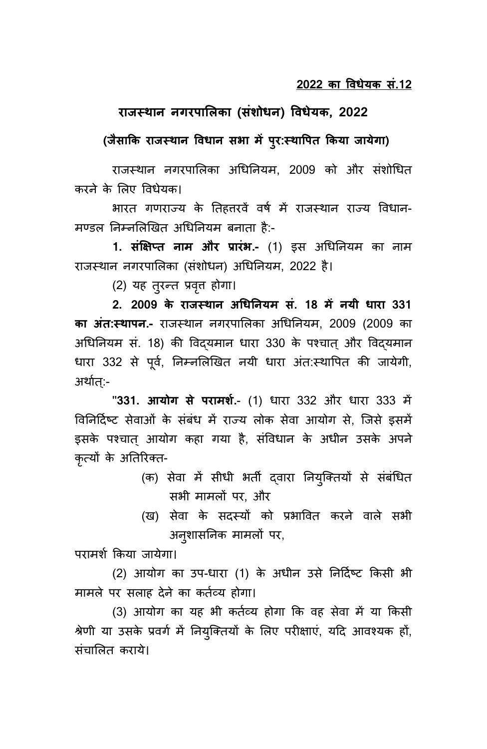## **राजस्थान नगरपालिका (संशोधन) विधेयक, 2022**

## **(जैसाकक राजस् थान विधान स ा ं पप:र्स्थावपक ककया जायेगा)**

राजस्थान नगरपालिका अधिननयम, 2009 को और संशोधित करने के लिए वििेयक।

भारत गणराज्य के तिहत्तरवें वर्ष में राजस्थान राज्य विधान-मण्डल निम्नलिखित अधिनियम बनाता है:-

1. **संक्षिप्त नाम और प्रारंभ.-** (1) इस अधिनियम का नाम राजस्थान नगरपालिका (संशोिन) अधिननयम, 2022 है।

(2) यह तुरन्त प्रवृत्त होगा।

**2. 2009 के राजस्थान अधधननयं सं. 18 ं प नयी धारा 331 का अंक्स् थापन.-** राजस्थान नगरपालिका अधिननयम, 2009 (2009 का अधिनियम सं. 18) की विद्यमान धारा 330 के पश्चात् और विद्यमान धारा 332 से पूर्व, निम्नलिखित नयी धारा अंत:स्थापित की जायेगी, अर्थात:-

''**331. आयोग से परां शश.**- (1) िारा 332 और िारा 333 में विनिर्दिष्ट सेवाओं के संबंध में राज्य लोक सेवा आयोग से, जिसे इसमें इसके पश्चात आयोग कहा गया है, संविधान के अधीन उसके अपने कृत्यों के अतिरिक्त-

- (क) सेवा में सीधी भर्ती दवारा नियुक्तियों से संबंधित सभी मामलों पर, और
- (ख) सेवा के सदस्यों को प्रभावित करने वाले सभी अनुशासननक मामिों पर,

परामशष ककया जायेगा।

(2) आयोग का उप-धारा (1) के अधीन उसे निर्दिष्ट किसी भी मामले पर सलाह देने का कर्तव्य होगा।

(3) आयोग का यह भी कर्तव्य होगा कि वह सेवा में या किसी श्रेणी या उसके प्रवर्ग में नियुक्तियों के लिए परीक्षाएं, यदि आवश्यक हों, संचालित कराये।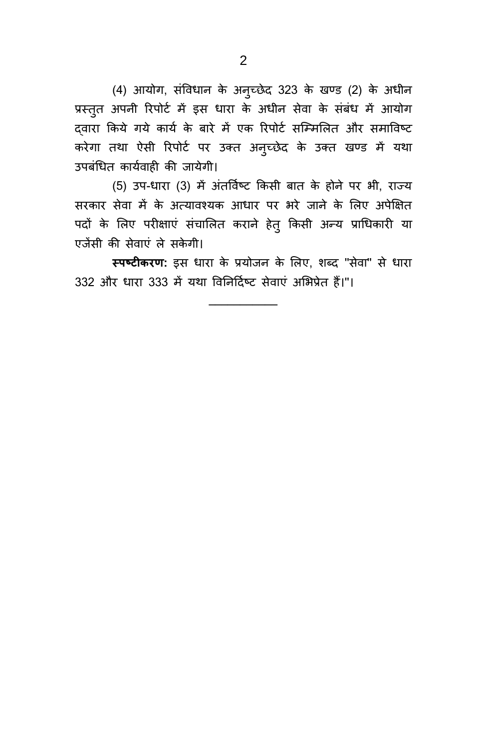(4) आयोग, संविधान के अन्च्छेद 323 के खण्ड (2) के अधीन प्रस्तुत अपनी रिपोर्ट में इस धारा के अधीन सेवा के संबंध में आयोग द्वारा किये गये कार्य के बारे में एक रिपोर्ट सम्मिलित और समाविष्ट करेगा तथा ऐसी रिपोर्ट पर उक्त अनुच्छेद के उक्त खण्ड में यथा उपबंधित कार्यवाही की जायेगी।

(5) उप-धारा (3) में अंतर्विष्ट किसी बात के होने पर भी, राज्य सरकार सेवा में के अत्यावश्यक आधार पर भरे जाने के लिए अपेक्षित पदों के लिए परीक्षाएं संचालित कराने हेतु किसी अन्य प्राधिकारी या एजेंसी की सेवाएं ले सकेगी।

स्पष्टीकरण: इस धारा के प्रयोजन के लिए, शब्द "सेवा" से धारा 332 और धारा 333 में यथा विनिर्दिष्ट सेवाएं अभिप्रेत हैं।"।

**\_\_\_\_\_\_\_\_\_\_\_**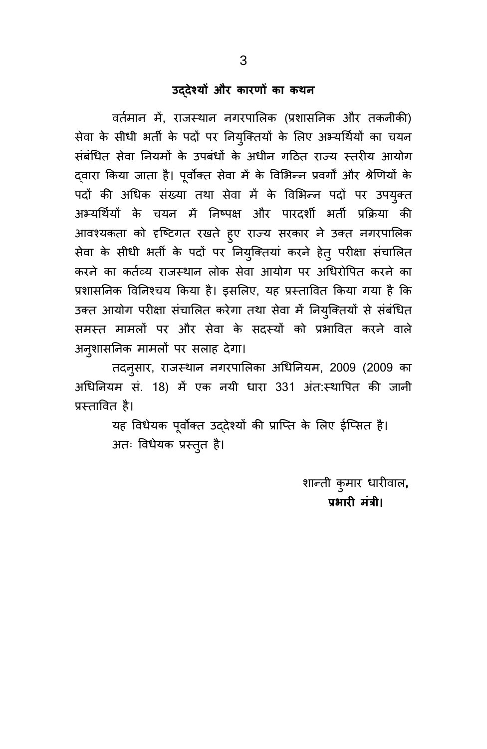## **उद्देश्यों और कार ों का कथन**

वर्तमान में, राजस्थान नगरपालिक (प्रशासनिक और तकनीकी) सेवा के सीधी भर्ती के पदों पर नियुक्तियों के लिए अभ्यर्थियों का चयन संबंधित सेवा नियमों के उपबंधों के अधीन गठित राज्य स्तरीय आयोग दवारा किया जाता है। पूर्वोक्त सेवा में के विभिन्न प्रवर्गों और श्रेणियों के पदों की अधिक संख्या तथा सेवा में के विभिन्न पदों पर उपयुक्त अभ्यर्थियों के चयन में निष्पक्ष और पारदर्शी भर्ती प्रक्रिया की आवश्यकता को दृष्टिगत रखते हुए राज्य सरकार ने उक्त नगरपालिक सेवा के सीधी भर्ती के पदों पर नियुक्तियां करने हेत् परीक्षा संचालित करने का कर्तव्य राजस्थान लोक सेवा आयोग पर अधिरोपित करने का प्रशासनिक विनिश्चय किया है। इसलिए, यह प्रस्तावित किया गया है कि उक्त आयोग परीक्षा संचालित करेगा तथा सेवा में नियुक्तियों से संबंधित समस्त मामलों पर और सेवा के सदस्यों को प्रभावित करने वाले अनुशासनिक मामलों पर सलाह देगा।

तदनुसार, राजस्थान नगरपालिका अधिनियम, 2009 (2009 का अधिनियम सं. 18) में एक नयी धारा 331 अंत:स्थापित की जानी प्रस्तावित है।

> यह विधेयक पूर्वोक्त उद्देश्यों की प्राप्ति के लिए ईप्सित है। अतः विधेयक प्रस्तुत है।

> > शान्ती कुमार धारीवाल**, प्र ारी ं ंत्री।**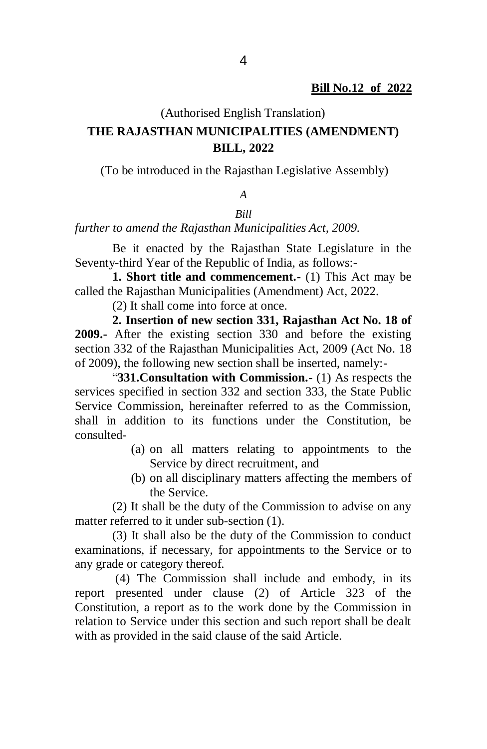#### (Authorised English Translation)

## **THE RAJASTHAN MUNICIPALITIES (AMENDMENT) BILL, 2022**

(To be introduced in the Rajasthan Legislative Assembly)

#### *A*

### *Bill*

*further to amend the Rajasthan Municipalities Act, 2009.*

Be it enacted by the Rajasthan State Legislature in the Seventy-third Year of the Republic of India, as follows:-

**1. Short title and commencement.-** (1) This Act may be called the Rajasthan Municipalities (Amendment) Act, 2022.

(2) It shall come into force at once.

**2. Insertion of new section 331, Rajasthan Act No. 18 of 2009.-** After the existing section 330 and before the existing section 332 of the Rajasthan Municipalities Act, 2009 (Act No. 18 of 2009), the following new section shall be inserted, namely:-

"**331.Consultation with Commission.-** (1) As respects the services specified in section 332 and section 333, the State Public Service Commission, hereinafter referred to as the Commission, shall in addition to its functions under the Constitution, be consulted-

- (a) on all matters relating to appointments to the Service by direct recruitment, and
- (b) on all disciplinary matters affecting the members of the Service.

(2) It shall be the duty of the Commission to advise on any matter referred to it under sub-section (1).

(3) It shall also be the duty of the Commission to conduct examinations, if necessary, for appointments to the Service or to any grade or category thereof.

(4) The Commission shall include and embody, in its report presented under clause (2) of Article 323 of the Constitution, a report as to the work done by the Commission in relation to Service under this section and such report shall be dealt with as provided in the said clause of the said Article.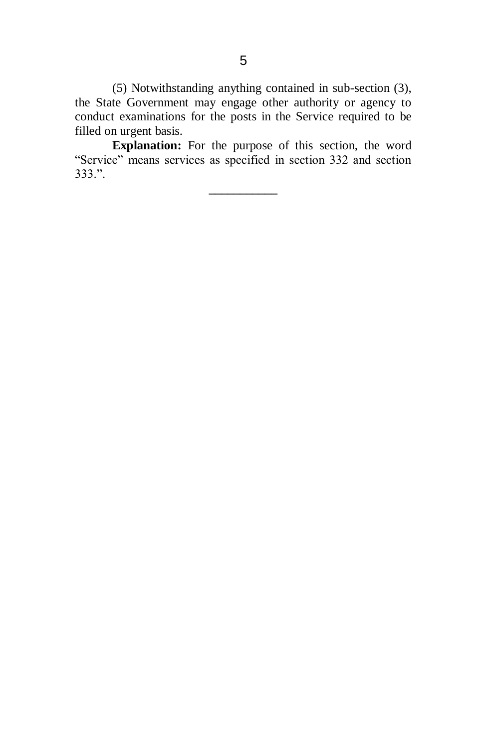(5) Notwithstanding anything contained in sub-section (3), the State Government may engage other authority or agency to conduct examinations for the posts in the Service required to be filled on urgent basis.

**Explanation:** For the purpose of this section, the word "Service" means services as specified in section 332 and section 333.".

**\_\_\_\_\_\_\_\_\_\_\_**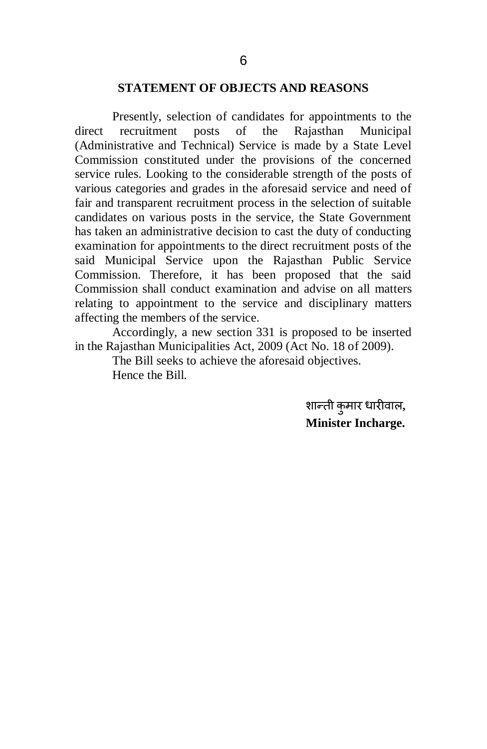#### **STATEMENT OF OBJECTS AND REASONS**

Presently, selection of candidates for appointments to the direct recruitment posts of the Rajasthan Municipal (Administrative and Technical) Service is made by a State Level Commission constituted under the provisions of the concerned service rules. Looking to the considerable strength of the posts of various categories and grades in the aforesaid service and need of fair and transparent recruitment process in the selection of suitable candidates on various posts in the service, the State Government has taken an administrative decision to cast the duty of conducting examination for appointments to the direct recruitment posts of the said Municipal Service upon the Rajasthan Public Service Commission. Therefore, it has been proposed that the said Commission shall conduct examination and advise on all matters relating to appointment to the service and disciplinary matters affecting the members of the service.

Accordingly, a new section 331 is proposed to be inserted in the Rajasthan Municipalities Act, 2009 (Act No. 18 of 2009).

> The Bill seeks to achieve the aforesaid objectives. Hence the Bill.

> > शान्ती कुमार धारीवाल, **Minister Incharge.**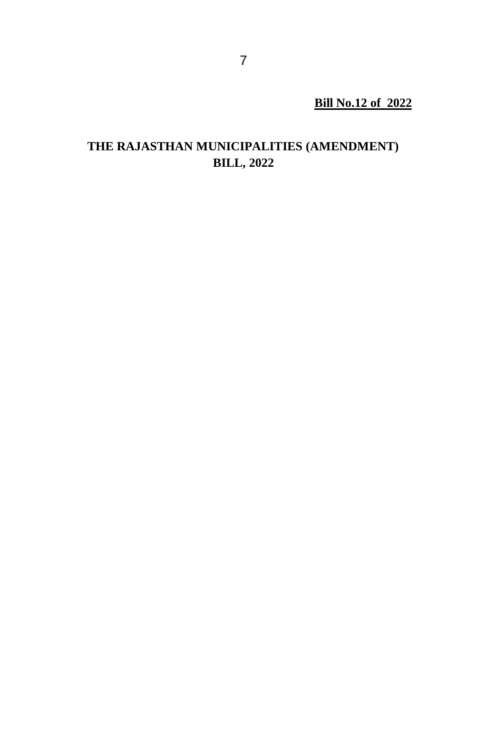**Bill No.12 of 2022**

# **THE RAJASTHAN MUNICIPALITIES (AMENDMENT) BILL, 2022**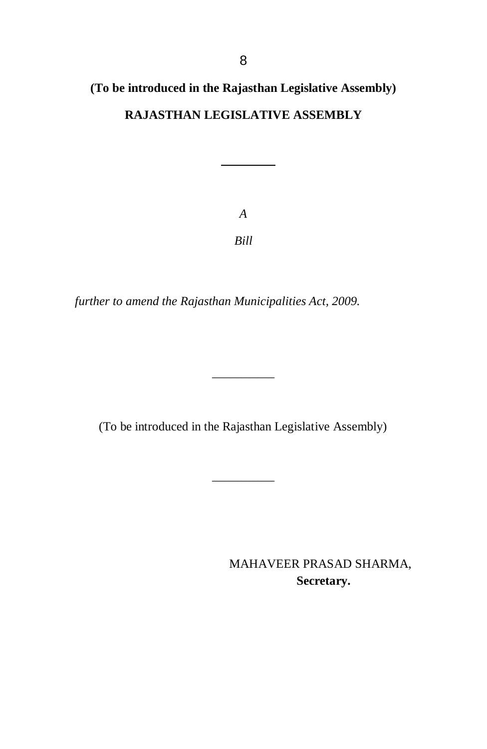# **(To be introduced in the Rajasthan Legislative Assembly) RAJASTHAN LEGISLATIVE ASSEMBLY**

*A Bill*

*further to amend the Rajasthan Municipalities Act, 2009.*

(To be introduced in the Rajasthan Legislative Assembly)

\_\_\_\_\_\_\_\_\_\_

\_\_\_\_\_\_\_\_\_\_

MAHAVEER PRASAD SHARMA,  **Secretary.**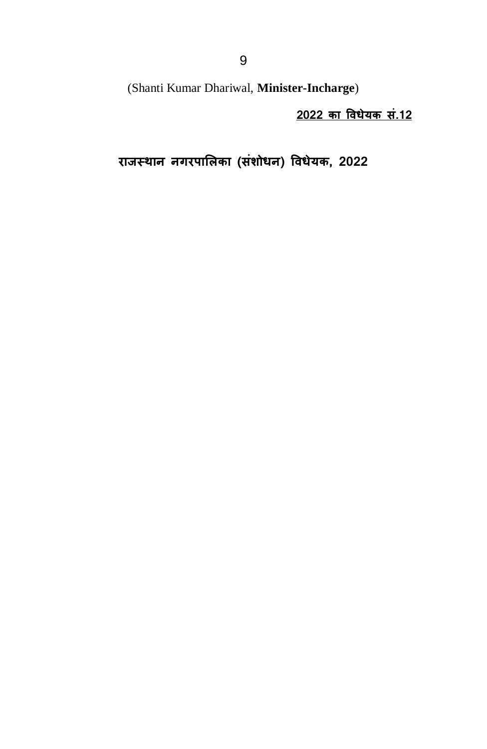(Shanti Kumar Dhariwal, **Minister-Incharge**)

**2022 का विधेयक सं.12** 

**राजस्थान नगरपालिका (संशोधन) विधेयक, 2022**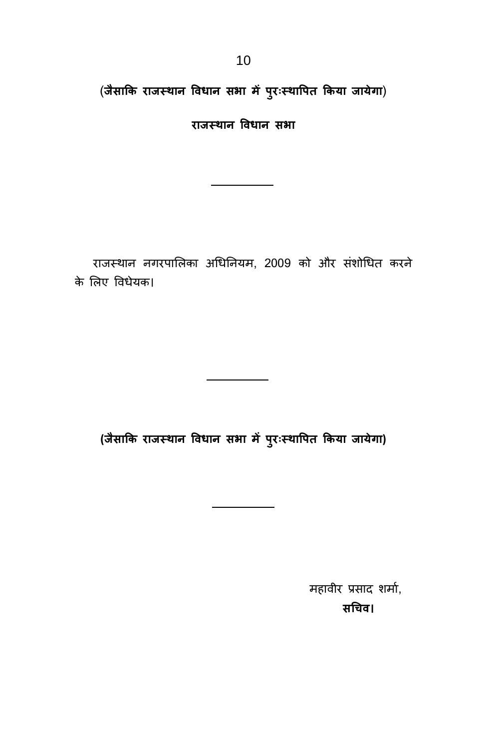(**जैसाकक राजस् थान विधान स ा ं पप:रःस् थावपक ककया जायेगा**)

**राजस् थान विधान स ा**

 राजस्थान नगरपालिका अधिननयम, 2009 को और संशोधित करने के लिए विधेयक।

**(जैसाकक राजस् थान विधान स ा ं पप:रःस्थावपक ककया जायेगा)**

महावीर प्रसाद शर्मा, **सधिि।**